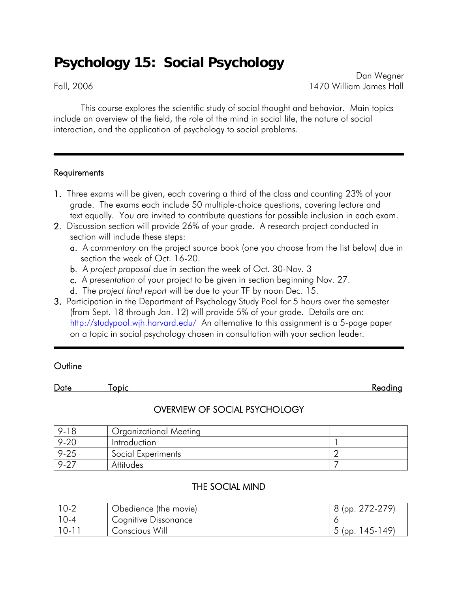# **Psychology 15: Social Psychology**

Dan Wegner Fall, 2006 1470 William James Hall

This course explores the scientific study of social thought and behavior. Main topics include an overview of the field, the role of the mind in social life, the nature of social interaction, and the application of psychology to social problems.

#### **Requirements**

- 1. Three exams will be given, each covering a third of the class and counting 23% of your grade. The exams each include 50 multiple-choice questions, covering lecture and text equally. You are invited to contribute questions for possible inclusion in each exam.
- 2. Discussion section will provide 26% of your grade. A research project conducted in section will include these steps:
	- a. A *commentary* on the project source book (one you choose from the list below) due in section the week of Oct. 16-20.
	- b. A *project proposal* due in section the week of Oct. 30-Nov. 3
	- c. A *presentation* of your project to be given in section beginning Nov. 27.
	- d. The *project final report* will be due to your TF by noon Dec. 15.
- 3. Participation in the Department of Psychology Study Pool for 5 hours over the semester (from Sept. 18 through Jan. 12) will provide 5% of your grade. Details are on: <http://studypool.wjh.harvard.edu/>An alternative to this assignment is a 5-page paper on a topic in social psychology chosen in consultation with your section leader.

ı

### **Outline**

Date Topic Reading

## OVERVIEW OF SOCIAL PSYCHOLOGY

| 9-18          | <b>Organizational Meeting</b> |  |
|---------------|-------------------------------|--|
| $9 - 20$      | Introduction                  |  |
| $9 - 25$      | Social Experiments            |  |
| $9.2^{\circ}$ | Attitudes                     |  |

## THE SOCIAL MIND

| $10-2$ | Obedience (the movie) | $272 - 279'$<br>(pp |
|--------|-----------------------|---------------------|
|        | Cognitive Dissonance  |                     |
| $10-1$ | Conscious Will        | 145-149<br>(pp.     |